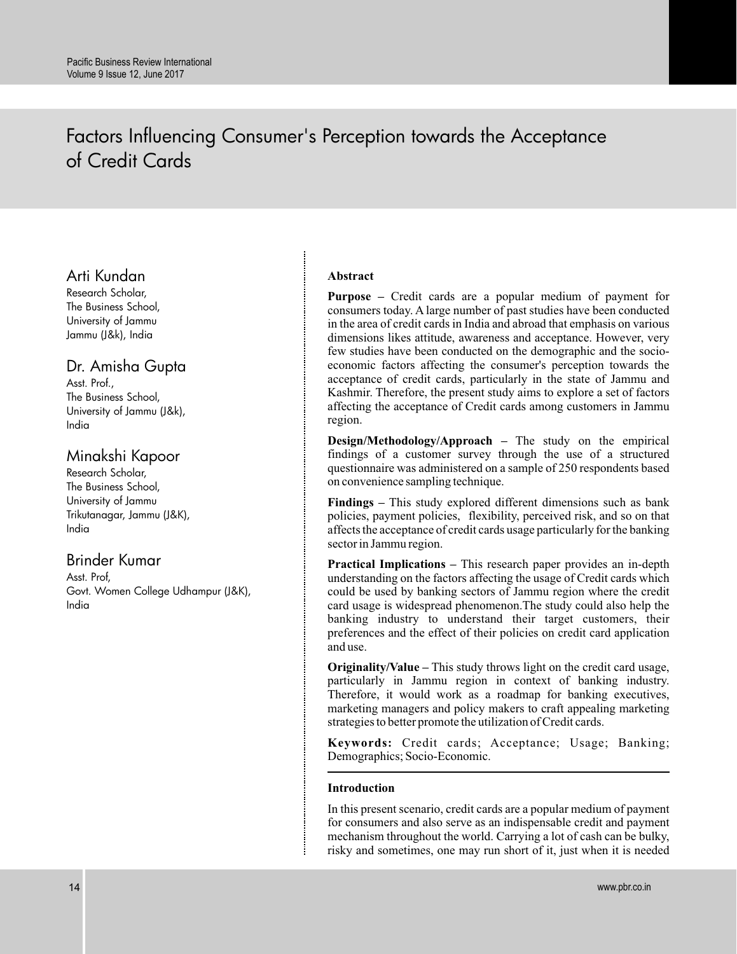# Factors Influencing Consumer's Perception towards the Acceptance of Credit Cards

# Arti Kundan

Research Scholar, The Business School, University of Jammu Jammu (J&k), India

# Dr. Amisha Gupta

Asst. Prof., The Business School, University of Jammu (J&k), India

# Minakshi Kapoor

Research Scholar, The Business School, University of Jammu Trikutanagar, Jammu (J&K), India

# Brinder Kumar

Asst. Prof, Govt. Women College Udhampur (J&K), India

# **Abstract**

**Purpose –** Credit cards are a popular medium of payment for consumers today. A large number of past studies have been conducted in the area of credit cards in India and abroad that emphasis on various dimensions likes attitude, awareness and acceptance. However, very few studies have been conducted on the demographic and the socioeconomic factors affecting the consumer's perception towards the acceptance of credit cards, particularly in the state of Jammu and Kashmir. Therefore, the present study aims to explore a set of factors affecting the acceptance of Credit cards among customers in Jammu region.

**Design/Methodology/Approach –** The study on the empirical findings of a customer survey through the use of a structured questionnaire was administered on a sample of 250 respondents based on convenience sampling technique.

**Findings –** This study explored different dimensions such as bank policies, payment policies, flexibility, perceived risk, and so on that affects the acceptance of credit cards usage particularly for the banking sector in Jammu region.

**Practical Implications –** This research paper provides an in-depth understanding on the factors affecting the usage of Credit cards which could be used by banking sectors of Jammu region where the credit card usage is widespread phenomenon.The study could also help the banking industry to understand their target customers, their preferences and the effect of their policies on credit card application and use.

**Originality/Value –** This study throws light on the credit card usage, particularly in Jammu region in context of banking industry. Therefore, it would work as a roadmap for banking executives, marketing managers and policy makers to craft appealing marketing strategies to better promote the utilization of Credit cards.

**Keywords:** Credit cards; Acceptance; Usage; Banking; Demographics; Socio-Economic.

# **Introduction**

In this present scenario, credit cards are a popular medium of payment for consumers and also serve as an indispensable credit and payment mechanism throughout the world. Carrying a lot of cash can be bulky, risky and sometimes, one may run short of it, just when it is needed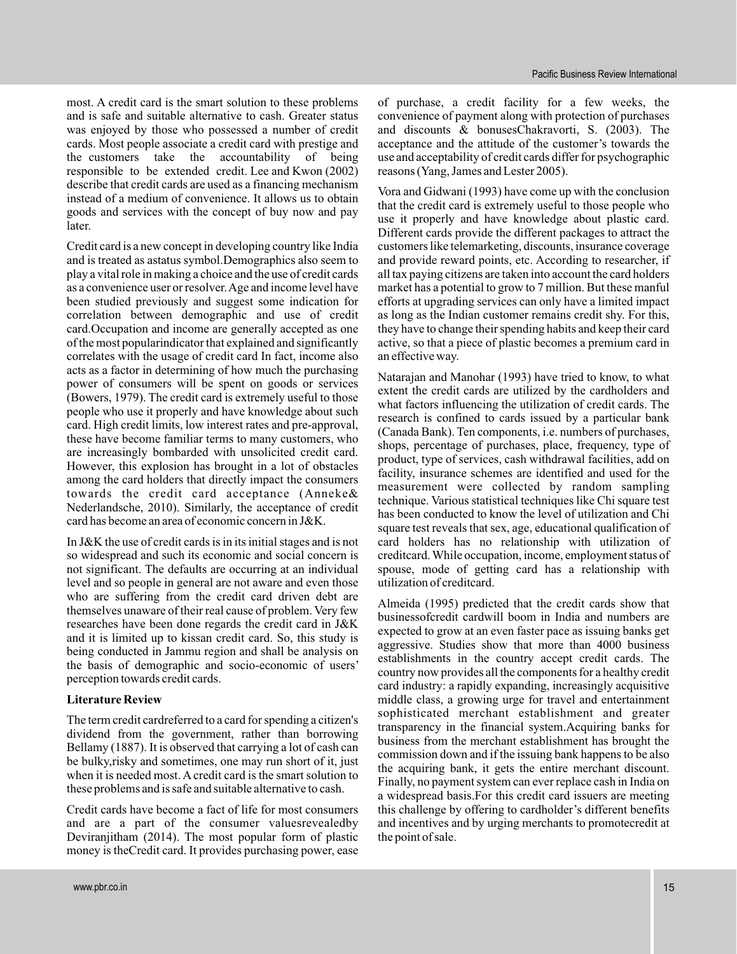most. A credit card is the smart solution to these problems and is safe and suitable alternative to cash. Greater status was enjoyed by those who possessed a number of credit cards. Most people associate a credit card with prestige and the customers take the accountability of being responsible to be extended credit. Lee and Kwon (2002) describe that credit cards are used as a financing mechanism instead of a medium of convenience. It allows us to obtain goods and services with the concept of buy now and pay later.

Credit card is a new concept in developing country like India and is treated as astatus symbol.Demographics also seem to play a vital role in making a choice and the use of credit cards as a convenience user or resolver.Age and income level have been studied previously and suggest some indication for correlation between demographic and use of credit card.Occupation and income are generally accepted as one of the most popularindicator that explained and significantly correlates with the usage of credit card In fact, income also acts as a factor in determining of how much the purchasing power of consumers will be spent on goods or services (Bowers, 1979). The credit card is extremely useful to those people who use it properly and have knowledge about such card. High credit limits, low interest rates and pre-approval, these have become familiar terms to many customers, who are increasingly bombarded with unsolicited credit card. However, this explosion has brought in a lot of obstacles among the card holders that directly impact the consumers towards the credit card acceptance (Anneke& Nederlandsche, 2010). Similarly, the acceptance of credit card has become an area of economic concern in J&K.

In J&K the use of credit cards is in its initial stages and is not so widespread and such its economic and social concern is not significant. The defaults are occurring at an individual level and so people in general are not aware and even those who are suffering from the credit card driven debt are themselves unaware of their real cause of problem. Very few researches have been done regards the credit card in J&K and it is limited up to kissan credit card. So, this study is being conducted in Jammu region and shall be analysis on the basis of demographic and socio-economic of users' perception towards credit cards.

# **Literature Review**

The term credit cardreferred to a card for spending a citizen's dividend from the government, rather than borrowing Bellamy (1887). It is observed that carrying a lot of cash can be bulky,risky and sometimes, one may run short of it, just when it is needed most. A credit card is the smart solution to these problems and is safe and suitable alternative to cash.

Credit cards have become a fact of life for most consumers and are a part of the consumer valuesrevealedby Deviranjitham (2014). The most popular form of plastic money is theCredit card. It provides purchasing power, ease

of purchase, a credit facility for a few weeks, the convenience of payment along with protection of purchases and discounts & bonusesChakravorti, S. (2003). The acceptance and the attitude of the customer's towards the use and acceptability of credit cards differ for psychographic reasons (Yang, James and Lester 2005).

Vora and Gidwani (1993) have come up with the conclusion that the credit card is extremely useful to those people who use it properly and have knowledge about plastic card. Different cards provide the different packages to attract the customers like telemarketing, discounts, insurance coverage and provide reward points, etc. According to researcher, if all tax paying citizens are taken into account the card holders market has a potential to grow to 7 million. But these manful efforts at upgrading services can only have a limited impact as long as the Indian customer remains credit shy. For this, they have to change their spending habits and keep their card active, so that a piece of plastic becomes a premium card in an effective way.

Natarajan and Manohar (1993) have tried to know, to what extent the credit cards are utilized by the cardholders and what factors influencing the utilization of credit cards. The research is confined to cards issued by a particular bank (Canada Bank). Ten components, i.e. numbers of purchases, shops, percentage of purchases, place, frequency, type of product, type of services, cash withdrawal facilities, add on facility, insurance schemes are identified and used for the measurement were collected by random sampling technique. Various statistical techniques like Chi square test has been conducted to know the level of utilization and Chi square test reveals that sex, age, educational qualification of card holders has no relationship with utilization of creditcard.While occupation, income, employment status of spouse, mode of getting card has a relationship with utilization of creditcard.

Almeida (1995) predicted that the credit cards show that businessofcredit cardwill boom in India and numbers are expected to grow at an even faster pace as issuing banks get aggressive. Studies show that more than 4000 business establishments in the country accept credit cards. The country now provides all the components for a healthy credit card industry: a rapidly expanding, increasingly acquisitive middle class, a growing urge for travel and entertainment sophisticated merchant establishment and greater transparency in the financial system.Acquiring banks for business from the merchant establishment has brought the commission down and if the issuing bank happens to be also the acquiring bank, it gets the entire merchant discount. Finally, no payment system can ever replace cash in India on a widespread basis.For this credit card issuers are meeting this challenge by offering to cardholder's different benefits and incentives and by urging merchants to promotecredit at the point of sale.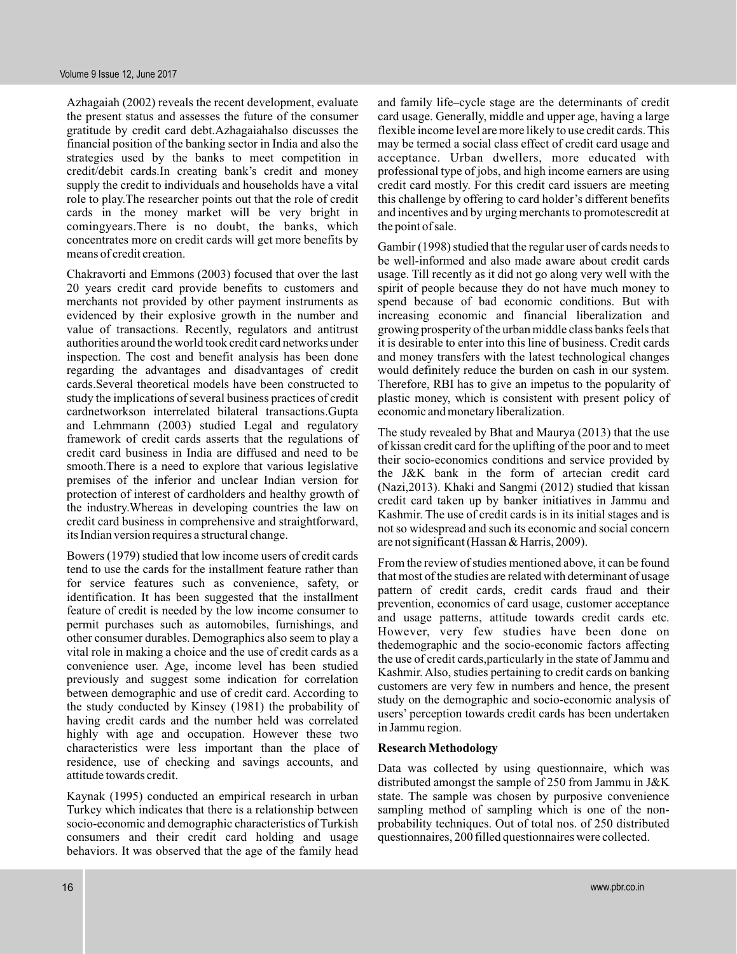Azhagaiah (2002) reveals the recent development, evaluate the present status and assesses the future of the consumer gratitude by credit card debt.Azhagaiahalso discusses the financial position of the banking sector in India and also the strategies used by the banks to meet competition in credit/debit cards.In creating bank's credit and money supply the credit to individuals and households have a vital role to play.The researcher points out that the role of credit cards in the money market will be very bright in comingyears.There is no doubt, the banks, which concentrates more on credit cards will get more benefits by means of credit creation.

Chakravorti and Emmons (2003) focused that over the last 20 years credit card provide benefits to customers and merchants not provided by other payment instruments as evidenced by their explosive growth in the number and value of transactions. Recently, regulators and antitrust authorities around the world took credit card networks under inspection. The cost and benefit analysis has been done regarding the advantages and disadvantages of credit cards.Several theoretical models have been constructed to study the implications of several business practices of credit cardnetworkson interrelated bilateral transactions.Gupta and Lehmmann (2003) studied Legal and regulatory framework of credit cards asserts that the regulations of credit card business in India are diffused and need to be smooth.There is a need to explore that various legislative premises of the inferior and unclear Indian version for protection of interest of cardholders and healthy growth of the industry.Whereas in developing countries the law on credit card business in comprehensive and straightforward, its Indian version requires a structural change.

Bowers (1979) studied that low income users of credit cards tend to use the cards for the installment feature rather than for service features such as convenience, safety, or identification. It has been suggested that the installment feature of credit is needed by the low income consumer to permit purchases such as automobiles, furnishings, and other consumer durables. Demographics also seem to play a vital role in making a choice and the use of credit cards as a convenience user. Age, income level has been studied previously and suggest some indication for correlation between demographic and use of credit card. According to the study conducted by Kinsey (1981) the probability of having credit cards and the number held was correlated highly with age and occupation. However these two characteristics were less important than the place of residence, use of checking and savings accounts, and attitude towards credit.

Kaynak (1995) conducted an empirical research in urban Turkey which indicates that there is a relationship between socio-economic and demographic characteristics of Turkish consumers and their credit card holding and usage behaviors. It was observed that the age of the family head

and family life–cycle stage are the determinants of credit card usage. Generally, middle and upper age, having a large flexible income level are more likely to use credit cards. This may be termed a social class effect of credit card usage and acceptance. Urban dwellers, more educated with professional type of jobs, and high income earners are using credit card mostly. For this credit card issuers are meeting this challenge by offering to card holder's different benefits and incentives and by urging merchants to promotescredit at the point of sale.

Gambir (1998) studied that the regular user of cards needs to be well-informed and also made aware about credit cards usage. Till recently as it did not go along very well with the spirit of people because they do not have much money to spend because of bad economic conditions. But with increasing economic and financial liberalization and growing prosperity of the urban middle class banks feels that it is desirable to enter into this line of business. Credit cards and money transfers with the latest technological changes would definitely reduce the burden on cash in our system. Therefore, RBI has to give an impetus to the popularity of plastic money, which is consistent with present policy of economic and monetary liberalization.

The study revealed by Bhat and Maurya (2013) that the use of kissan credit card for the uplifting of the poor and to meet their socio-economics conditions and service provided by the J&K bank in the form of artecian credit card (Nazi,2013). Khaki and Sangmi (2012) studied that kissan credit card taken up by banker initiatives in Jammu and Kashmir. The use of credit cards is in its initial stages and is not so widespread and such its economic and social concern are not significant (Hassan & Harris, 2009).

From the review of studies mentioned above, it can be found that most of the studies are related with determinant of usage pattern of credit cards, credit cards fraud and their prevention, economics of card usage, customer acceptance and usage patterns, attitude towards credit cards etc. However, very few studies have been done on thedemographic and the socio-economic factors affecting the use of credit cards,particularly in the state of Jammu and Kashmir. Also, studies pertaining to credit cards on banking customers are very few in numbers and hence, the present study on the demographic and socio-economic analysis of users' perception towards credit cards has been undertaken in Jammu region.

#### **Research Methodology**

Data was collected by using questionnaire, which was distributed amongst the sample of 250 from Jammu in J&K state. The sample was chosen by purposive convenience sampling method of sampling which is one of the nonprobability techniques. Out of total nos. of 250 distributed questionnaires, 200 filled questionnaires were collected.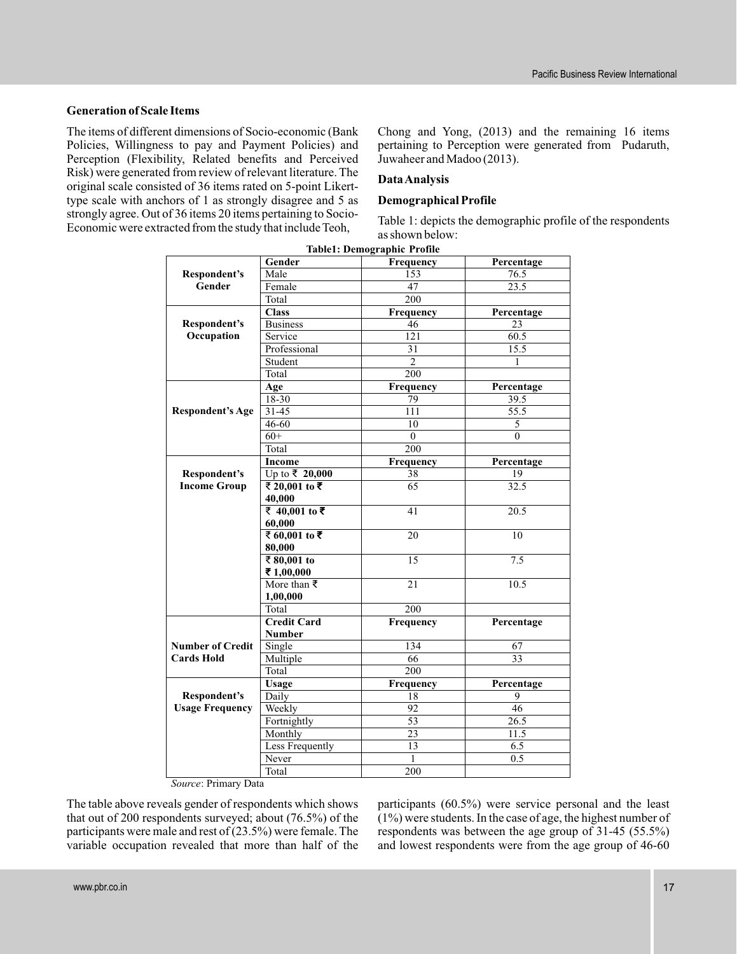# **Generation of Scale Items**

The items of different dimensions of Socio-economic (Bank Policies, Willingness to pay and Payment Policies) and Perception (Flexibility, Related benefits and Perceived Risk) were generated from review of relevant literature. The original scale consisted of 36 items rated on 5-point Likerttype scale with anchors of 1 as strongly disagree and 5 as strongly agree. Out of 36 items 20 items pertaining to Socio-Economic were extracted from the study that include Teoh,

Chong and Yong, (2013) and the remaining 16 items pertaining to Perception were generated from Pudaruth, Juwaheer and Madoo (2013).

# **DataAnalysis**

### **Demographical Profile**

Table 1: depicts the demographic profile of the respondents as shown below:

|                                              | Gender                 | Frequency       | Percentage       |
|----------------------------------------------|------------------------|-----------------|------------------|
| <b>Respondent's</b>                          | Male                   | 153             | 76.5             |
| Gender                                       | Female                 | 47              | 23.5             |
|                                              | Total                  | 200             |                  |
|                                              | <b>Class</b>           | Frequency       | Percentage       |
| <b>Respondent's</b>                          | <b>Business</b>        | 46              | 23               |
| Occupation                                   | Service                | 121             | 60.5             |
|                                              | Professional           | 31              | 15.5             |
|                                              | Student                | $\overline{2}$  | 1                |
|                                              | Total                  | 200             |                  |
|                                              | Age                    | Frequency       | Percentage       |
| <b>Respondent's Age</b>                      | 18-30                  | 79              | 39.5             |
|                                              | $31 - 45$              | 111             | 55.5             |
|                                              | 46-60                  | 10              | 5                |
|                                              | $60+$                  | $\mathbf{0}$    | $\boldsymbol{0}$ |
|                                              | Total                  | 200             |                  |
|                                              | <b>Income</b>          | Frequency       | Percentage       |
| Respondent's                                 | Up to ₹ 20,000         | 38              | 19               |
| <b>Income Group</b>                          | ₹ 20,001 to ₹          | 65              | 32.5             |
|                                              | 40,000                 |                 |                  |
|                                              | ₹ 40,001 to ₹          | 41              | 20.5             |
|                                              | 60,000                 |                 |                  |
|                                              | ₹ $60,001$ to ₹        | 20              | 10               |
|                                              | 80,000                 |                 |                  |
|                                              | ₹ 80,001 to            | $\overline{15}$ | 7.5              |
|                                              | ₹1,00,000              |                 |                  |
|                                              | More than $\bar{\tau}$ | 21              | 10.5             |
|                                              | 1,00,000               |                 |                  |
|                                              | Total                  | 200             |                  |
|                                              | <b>Credit Card</b>     | Frequency       | Percentage       |
|                                              | <b>Number</b>          |                 |                  |
| <b>Number of Credit</b><br><b>Cards Hold</b> | Single                 | 134<br>66       | 67<br>33         |
|                                              | Multiple               |                 |                  |
|                                              | Total                  | 200             |                  |
|                                              | Usage                  | Frequency       | Percentage       |
| Respondent's                                 | Daily                  | 18              | 9                |
| <b>Usage Frequency</b>                       | Weekly                 | 92              | 46               |
|                                              | Fortnightly            | 53              | 26.5             |
|                                              | Monthly                | 23              | 11.5             |
|                                              | <b>Less Frequently</b> | $\overline{13}$ | 6.5              |
|                                              | Never                  | $\mathbf{1}$    | 0.5              |
|                                              | Total                  | 200             |                  |

**Table1: Demographic Profile**

*Source*: Primary Data

The table above reveals gender of respondents which shows that out of 200 respondents surveyed; about (76.5%) of the participants were male and rest of (23.5%) were female. The variable occupation revealed that more than half of the participants (60.5%) were service personal and the least (1%) were students. In the case of age, the highest number of respondents was between the age group of 31-45 (55.5%) and lowest respondents were from the age group of 46-60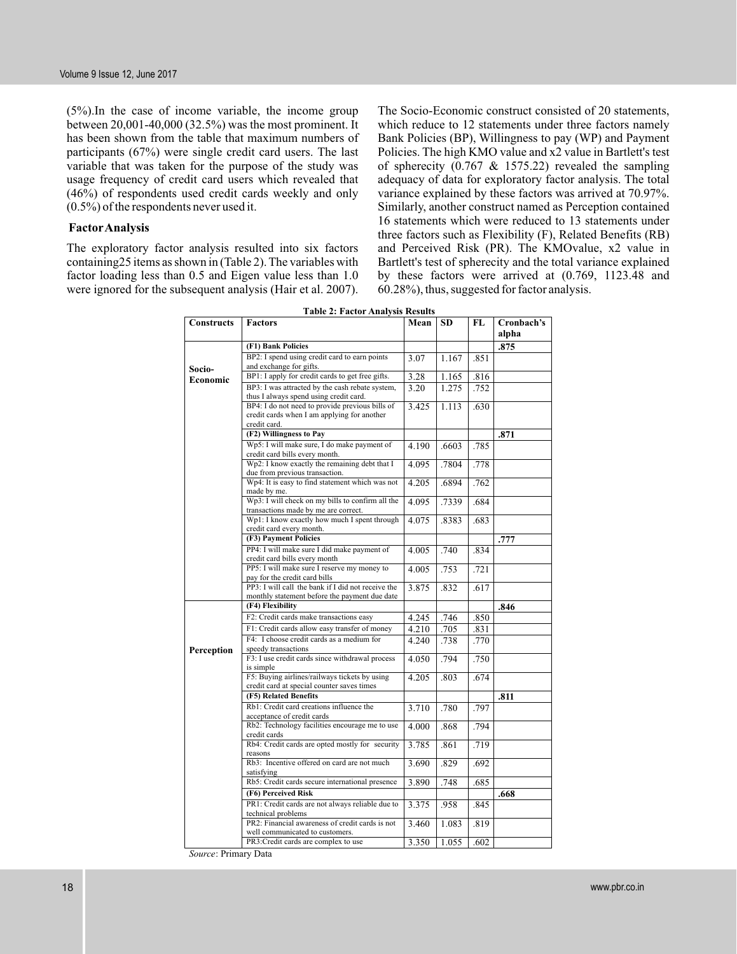$(5\%)$ . In the case of income variable, the income group between 20,001-40,000 (32.5%) was the most prominent. It has been shown from the table that maximum numbers of participants (67%) were single credit card users. The last variable that was taken for the purpose of the study was usage frequency of credit card users which revealed that (46%) of respondents used credit cards weekly and only (0.5%) of the respondents never used it.

#### **FactorAnalysis**

The exploratory factor analysis resulted into six factors containing25 items as shown in (Table 2). The variables with factor loading less than 0.5 and Eigen value less than 1.0 were ignored for the subsequent analysis (Hair et al. 2007).

The Socio-Economic construct consisted of 20 statements, which reduce to 12 statements under three factors namely Bank Policies (BP), Willingness to pay (WP) and Payment Policies. The high KMO value and x2 value in Bartlett's test of spherecity  $(0.767 \& 1575.22)$  revealed the sampling adequacy of data for exploratory factor analysis. The total variance explained by these factors was arrived at 70.97%. Similarly, another construct named as Perception contained 16 statements which were reduced to 13 statements under three factors such as Flexibility (F), Related Benefits (RB) and Perceived Risk (PR). The KMOvalue, x2 value in Bartlett's test of spherecity and the total variance explained by these factors were arrived at (0.769, 1123.48 and 60.28%), thus, suggested for factor analysis.

| Tadie 2: Factor Analysis Results |                                                                                     |       |           |           |                     |  |  |
|----------------------------------|-------------------------------------------------------------------------------------|-------|-----------|-----------|---------------------|--|--|
| <b>Constructs</b>                | <b>Factors</b>                                                                      | Mean  | <b>SD</b> | <b>FL</b> | Cronbach's<br>alpha |  |  |
|                                  | (F1) Bank Policies                                                                  |       |           |           | .875                |  |  |
|                                  | BP2: I spend using credit card to earn points                                       | 3.07  | 1.167     | .851      |                     |  |  |
| Socio-                           | and exchange for gifts.                                                             |       |           |           |                     |  |  |
| Economic                         | BP1: I apply for credit cards to get free gifts.                                    | 3.28  | 1.165     | .816      |                     |  |  |
|                                  | BP3: I was attracted by the cash rebate system,                                     | 3.20  | 1.275     | .752      |                     |  |  |
|                                  | thus I always spend using credit card.                                              |       |           |           |                     |  |  |
|                                  | BP4: I do not need to provide previous bills of                                     | 3.425 | 1.113     | .630      |                     |  |  |
|                                  | credit cards when I am applying for another                                         |       |           |           |                     |  |  |
|                                  | credit card.                                                                        |       |           |           |                     |  |  |
|                                  | (F2) Willingness to Pay                                                             |       |           |           | .871                |  |  |
|                                  | Wp5: I will make sure, I do make payment of                                         | 4.190 | .6603     | .785      |                     |  |  |
|                                  | credit card bills every month.                                                      |       |           |           |                     |  |  |
|                                  | Wp2: I know exactly the remaining debt that I                                       | 4.095 | .7804     | .778      |                     |  |  |
|                                  | due from previous transaction.                                                      |       |           |           |                     |  |  |
|                                  | Wp4: It is easy to find statement which was not<br>made by me.                      | 4.205 | .6894     | .762      |                     |  |  |
|                                  | Wp3: I will check on my bills to confirm all the                                    | 4.095 | .7339     | .684      |                     |  |  |
|                                  | transactions made by me are correct.                                                |       |           |           |                     |  |  |
|                                  | Wp1: I know exactly how much I spent through                                        | 4.075 | .8383     | .683      |                     |  |  |
|                                  | credit card every month.                                                            |       |           |           |                     |  |  |
|                                  | (F3) Payment Policies                                                               |       |           |           | .777                |  |  |
|                                  | PP4: I will make sure I did make payment of                                         | 4.005 | .740      | .834      |                     |  |  |
|                                  | credit card bills every month                                                       |       |           |           |                     |  |  |
|                                  | PP5: I will make sure I reserve my money to                                         | 4.005 | .753      | .721      |                     |  |  |
|                                  | pay for the credit card bills<br>PP3: I will call the bank if I did not receive the |       |           |           |                     |  |  |
|                                  |                                                                                     | 3.875 | .832      | .617      |                     |  |  |
|                                  | monthly statement before the payment due date<br>(F4) Flexibility                   |       |           |           | .846                |  |  |
|                                  |                                                                                     |       |           |           |                     |  |  |
|                                  | F2: Credit cards make transactions easy                                             | 4.245 | .746      | .850      |                     |  |  |
|                                  | F1: Credit cards allow easy transfer of money                                       | 4.210 | .705      | .831      |                     |  |  |
|                                  | F4: I choose credit cards as a medium for                                           | 4.240 | .738      | .770      |                     |  |  |
| Perception                       | speedy transactions                                                                 |       |           |           |                     |  |  |
|                                  | F3: I use credit cards since withdrawal process                                     | 4.050 | .794      | .750      |                     |  |  |
|                                  | is simple<br>F5: Buying airlines/railways tickets by using                          | 4.205 | .803      | .674      |                     |  |  |
|                                  | credit card at special counter saves times                                          |       |           |           |                     |  |  |
|                                  | (F5) Related Benefits                                                               |       |           |           | .811                |  |  |
|                                  | Rb1: Credit card creations influence the                                            | 3.710 | .780      |           |                     |  |  |
|                                  | acceptance of credit cards                                                          |       |           | .797      |                     |  |  |
|                                  | Rb2: Technology facilities encourage me to use                                      | 4.000 | .868      | .794      |                     |  |  |
|                                  | credit cards                                                                        |       |           |           |                     |  |  |
|                                  | Rb4: Credit cards are opted mostly for security                                     | 3.785 | .861      | .719      |                     |  |  |
|                                  | reasons                                                                             |       |           |           |                     |  |  |
|                                  | Rb3: Incentive offered on card are not much                                         | 3.690 | .829      | .692      |                     |  |  |
|                                  | satisfying                                                                          |       |           |           |                     |  |  |
|                                  | Rb5: Credit cards secure international presence                                     | 3.890 | .748      | .685      |                     |  |  |

**(F6) Perceived Risk .668**<br> **PR1:** Credit cards are not always reliable due to  $\begin{array}{|c|c|c|c|c|c|} \hline 3.375 & .958 & .845 \hline \end{array}$ 

PR3:Credit cards are complex to use 3.350 1.055 .602

3.375

3.460 1.083 .819

PR1: Credit cards are not always reliable due to

PR2: Financial awareness of credit cards is not

technical problems

well communicated to customers.

**Table 2: Factor Analysis Results**

*Source*: Primary Data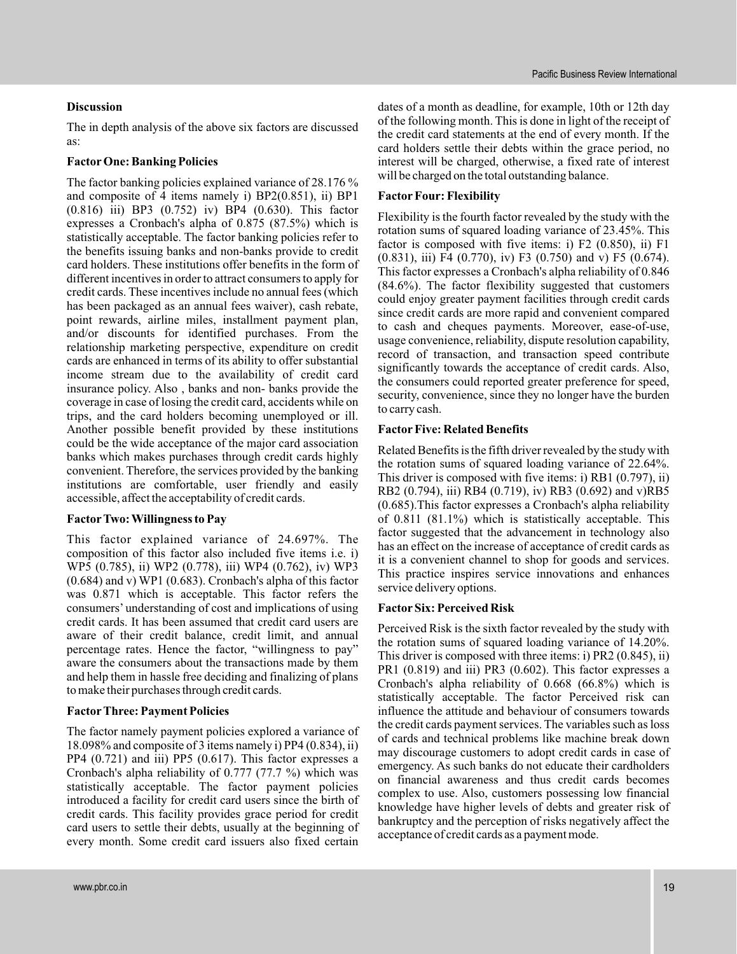## **Discussion**

The in depth analysis of the above six factors are discussed as:

# **Factor One: Banking Policies**

The factor banking policies explained variance of 28.176 % and composite of 4 items namely i) BP2(0.851), ii) BP1 (0.816) iii) BP3 (0.752) iv) BP4 (0.630). This factor expresses a Cronbach's alpha of 0.875 (87.5%) which is statistically acceptable. The factor banking policies refer to the benefits issuing banks and non-banks provide to credit card holders. These institutions offer benefits in the form of different incentives in order to attract consumers to apply for credit cards. These incentives include no annual fees (which has been packaged as an annual fees waiver), cash rebate, point rewards, airline miles, installment payment plan, and/or discounts for identified purchases. From the relationship marketing perspective, expenditure on credit cards are enhanced in terms of its ability to offer substantial income stream due to the availability of credit card insurance policy. Also , banks and non- banks provide the coverage in case of losing the credit card, accidents while on trips, and the card holders becoming unemployed or ill. Another possible benefit provided by these institutions could be the wide acceptance of the major card association banks which makes purchases through credit cards highly convenient. Therefore, the services provided by the banking institutions are comfortable, user friendly and easily accessible, affect the acceptability of credit cards.

# **FactorTwo: Willingness to Pay**

This factor explained variance of 24.697%. The composition of this factor also included five items i.e. i) WP5 (0.785), ii) WP2 (0.778), iii) WP4 (0.762), iv) WP3 (0.684) and v) WP1 (0.683). Cronbach's alpha of this factor was 0.871 which is acceptable. This factor refers the consumers' understanding of cost and implications of using credit cards. It has been assumed that credit card users are aware of their credit balance, credit limit, and annual percentage rates. Hence the factor, "willingness to pay" aware the consumers about the transactions made by them and help them in hassle free deciding and finalizing of plans to make their purchases through credit cards.

# **FactorThree: Payment Policies**

The factor namely payment policies explored a variance of 18.098% and composite of 3 items namely i) PP4 (0.834), ii) PP4 (0.721) and iii) PP5 (0.617). This factor expresses a Cronbach's alpha reliability of 0.777 (77.7 %) which was statistically acceptable. The factor payment policies introduced a facility for credit card users since the birth of credit cards. This facility provides grace period for credit card users to settle their debts, usually at the beginning of every month. Some credit card issuers also fixed certain

dates of a month as deadline, for example, 10th or 12th day of the following month. This is done in light of the receipt of the credit card statements at the end of every month. If the card holders settle their debts within the grace period, no interest will be charged, otherwise, a fixed rate of interest will be charged on the total outstanding balance.

# **Factor Four: Flexibility**

Flexibility is the fourth factor revealed by the study with the rotation sums of squared loading variance of 23.45%. This factor is composed with five items: i) F2 (0.850), ii) F1 (0.831), iii) F4 (0.770), iv) F3 (0.750) and v) F5 (0.674). This factor expresses a Cronbach's alpha reliability of 0.846 (84.6%). The factor flexibility suggested that customers could enjoy greater payment facilities through credit cards since credit cards are more rapid and convenient compared to cash and cheques payments. Moreover, ease-of-use, usage convenience, reliability, dispute resolution capability, record of transaction, and transaction speed contribute significantly towards the acceptance of credit cards. Also, the consumers could reported greater preference for speed, security, convenience, since they no longer have the burden to carry cash.

### **Factor Five: Related Benefits**

Related Benefits is the fifth driver revealed by the study with the rotation sums of squared loading variance of 22.64%. This driver is composed with five items: i) RB1 (0.797), ii) RB2 (0.794), iii) RB4 (0.719), iv) RB3 (0.692) and v)RB5 (0.685).This factor expresses a Cronbach's alpha reliability of 0.811 (81.1%) which is statistically acceptable. This factor suggested that the advancement in technology also has an effect on the increase of acceptance of credit cards as it is a convenient channel to shop for goods and services. This practice inspires service innovations and enhances service delivery options.

#### **Factor Six: Perceived Risk**

Perceived Risk is the sixth factor revealed by the study with the rotation sums of squared loading variance of 14.20%. This driver is composed with three items: i) PR2 (0.845), ii) PR1 (0.819) and iii) PR3 (0.602). This factor expresses a Cronbach's alpha reliability of 0.668 (66.8%) which is statistically acceptable. The factor Perceived risk can influence the attitude and behaviour of consumers towards the credit cards payment services. The variables such as loss of cards and technical problems like machine break down may discourage customers to adopt credit cards in case of emergency. As such banks do not educate their cardholders on financial awareness and thus credit cards becomes complex to use. Also, customers possessing low financial knowledge have higher levels of debts and greater risk of bankruptcy and the perception of risks negatively affect the acceptance of credit cards as a payment mode.